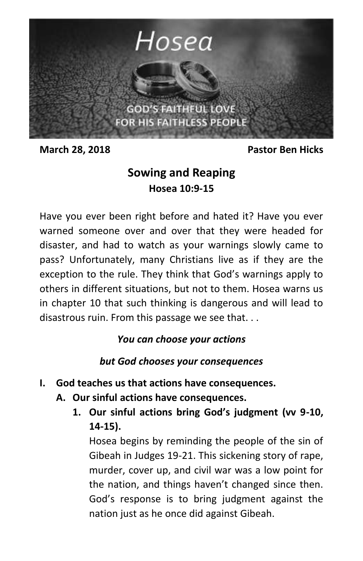

**March 28, 2018 Pastor Ben Hicks**

## **Sowing and Reaping Hosea 10:9-15**

Have you ever been right before and hated it? Have you ever warned someone over and over that they were headed for disaster, and had to watch as your warnings slowly came to pass? Unfortunately, many Christians live as if they are the exception to the rule. They think that God's warnings apply to others in different situations, but not to them. Hosea warns us in chapter 10 that such thinking is dangerous and will lead to disastrous ruin. From this passage we see that. . .

## *You can choose your actions*

*but God chooses your consequences*

- **I. God teaches us that actions have consequences.**
	- **A. Our sinful actions have consequences.**
		- **1. Our sinful actions bring God's judgment (vv 9-10, 14-15).**

Hosea begins by reminding the people of the sin of Gibeah in Judges 19-21. This sickening story of rape, murder, cover up, and civil war was a low point for the nation, and things haven't changed since then. God's response is to bring judgment against the nation just as he once did against Gibeah.